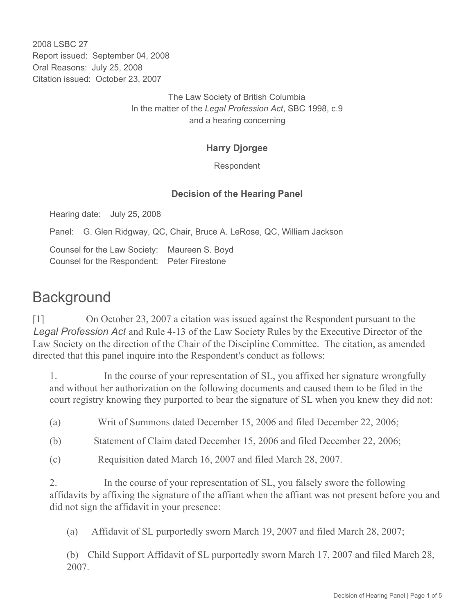2008 LSBC 27 Report issued: September 04, 2008 Oral Reasons: July 25, 2008 Citation issued: October 23, 2007

> The Law Society of British Columbia In the matter of the *Legal Profession Act*, SBC 1998, c.9 and a hearing concerning

#### **Harry Djorgee**

Respondent

#### **Decision of the Hearing Panel**

Hearing date: July 25, 2008

Panel: G. Glen Ridgway, QC, Chair, Bruce A. LeRose, QC, William Jackson

Counsel for the Law Society: Maureen S. Boyd Counsel for the Respondent: Peter Firestone

# **Background**

[1] On October 23, 2007 a citation was issued against the Respondent pursuant to the *Legal Profession Act* and Rule 4-13 of the Law Society Rules by the Executive Director of the Law Society on the direction of the Chair of the Discipline Committee. The citation, as amended directed that this panel inquire into the Respondent's conduct as follows:

1. In the course of your representation of SL, you affixed her signature wrongfully and without her authorization on the following documents and caused them to be filed in the court registry knowing they purported to bear the signature of SL when you knew they did not:

(a) Writ of Summons dated December 15, 2006 and filed December 22, 2006;

(b) Statement of Claim dated December 15, 2006 and filed December 22, 2006;

(c) Requisition dated March 16, 2007 and filed March 28, 2007.

2. In the course of your representation of SL, you falsely swore the following affidavits by affixing the signature of the affiant when the affiant was not present before you and did not sign the affidavit in your presence:

(a) Affidavit of SL purportedly sworn March 19, 2007 and filed March 28, 2007;

(b) Child Support Affidavit of SL purportedly sworn March 17, 2007 and filed March 28, 2007.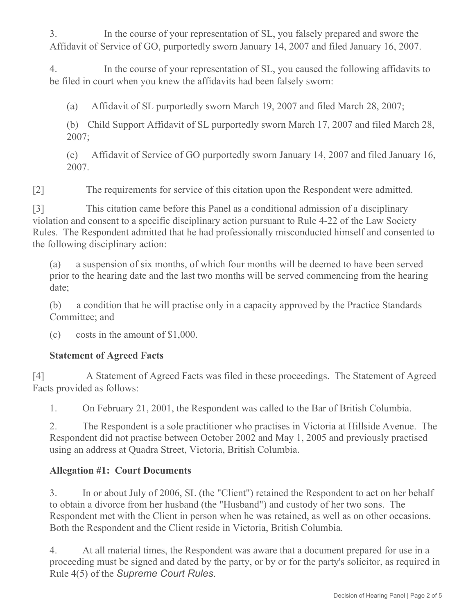3. In the course of your representation of SL, you falsely prepared and swore the Affidavit of Service of GO, purportedly sworn January 14, 2007 and filed January 16, 2007.

4. In the course of your representation of SL, you caused the following affidavits to be filed in court when you knew the affidavits had been falsely sworn:

(a) Affidavit of SL purportedly sworn March 19, 2007 and filed March 28, 2007;

(b) Child Support Affidavit of SL purportedly sworn March 17, 2007 and filed March 28, 2007;

(c) Affidavit of Service of GO purportedly sworn January 14, 2007 and filed January 16, 2007.

[2] The requirements for service of this citation upon the Respondent were admitted.

[3] This citation came before this Panel as a conditional admission of a disciplinary violation and consent to a specific disciplinary action pursuant to Rule 4-22 of the Law Society Rules. The Respondent admitted that he had professionally misconducted himself and consented to the following disciplinary action:

(a) a suspension of six months, of which four months will be deemed to have been served prior to the hearing date and the last two months will be served commencing from the hearing date;

(b) a condition that he will practise only in a capacity approved by the Practice Standards Committee; and

(c)  $\csc$  costs in the amount of \$1,000.

### **Statement of Agreed Facts**

[4] A Statement of Agreed Facts was filed in these proceedings. The Statement of Agreed Facts provided as follows:

1. On February 21, 2001, the Respondent was called to the Bar of British Columbia.

2. The Respondent is a sole practitioner who practises in Victoria at Hillside Avenue. The Respondent did not practise between October 2002 and May 1, 2005 and previously practised using an address at Quadra Street, Victoria, British Columbia.

### **Allegation #1: Court Documents**

3. In or about July of 2006, SL (the "Client") retained the Respondent to act on her behalf to obtain a divorce from her husband (the "Husband") and custody of her two sons. The Respondent met with the Client in person when he was retained, as well as on other occasions. Both the Respondent and the Client reside in Victoria, British Columbia.

4. At all material times, the Respondent was aware that a document prepared for use in a proceeding must be signed and dated by the party, or by or for the party's solicitor, as required in Rule 4(5) of the *Supreme Court Rules*.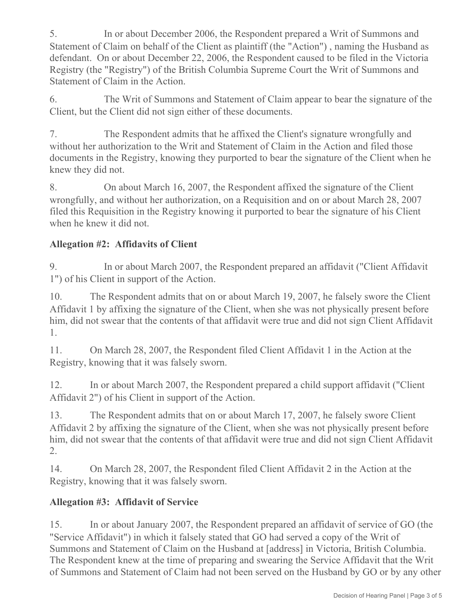5. In or about December 2006, the Respondent prepared a Writ of Summons and Statement of Claim on behalf of the Client as plaintiff (the "Action") , naming the Husband as defendant. On or about December 22, 2006, the Respondent caused to be filed in the Victoria Registry (the "Registry") of the British Columbia Supreme Court the Writ of Summons and Statement of Claim in the Action.

6. The Writ of Summons and Statement of Claim appear to bear the signature of the Client, but the Client did not sign either of these documents.

7. The Respondent admits that he affixed the Client's signature wrongfully and without her authorization to the Writ and Statement of Claim in the Action and filed those documents in the Registry, knowing they purported to bear the signature of the Client when he knew they did not.

8. On about March 16, 2007, the Respondent affixed the signature of the Client wrongfully, and without her authorization, on a Requisition and on or about March 28, 2007 filed this Requisition in the Registry knowing it purported to bear the signature of his Client when he knew it did not.

## **Allegation #2: Affidavits of Client**

9. In or about March 2007, the Respondent prepared an affidavit ("Client Affidavit 1") of his Client in support of the Action.

10. The Respondent admits that on or about March 19, 2007, he falsely swore the Client Affidavit 1 by affixing the signature of the Client, when she was not physically present before him, did not swear that the contents of that affidavit were true and did not sign Client Affidavit 1.

11. On March 28, 2007, the Respondent filed Client Affidavit 1 in the Action at the Registry, knowing that it was falsely sworn.

12. In or about March 2007, the Respondent prepared a child support affidavit ("Client Affidavit 2") of his Client in support of the Action.

13. The Respondent admits that on or about March 17, 2007, he falsely swore Client Affidavit 2 by affixing the signature of the Client, when she was not physically present before him, did not swear that the contents of that affidavit were true and did not sign Client Affidavit 2.

14. On March 28, 2007, the Respondent filed Client Affidavit 2 in the Action at the Registry, knowing that it was falsely sworn.

### **Allegation #3: Affidavit of Service**

15. In or about January 2007, the Respondent prepared an affidavit of service of GO (the "Service Affidavit") in which it falsely stated that GO had served a copy of the Writ of Summons and Statement of Claim on the Husband at [address] in Victoria, British Columbia. The Respondent knew at the time of preparing and swearing the Service Affidavit that the Writ of Summons and Statement of Claim had not been served on the Husband by GO or by any other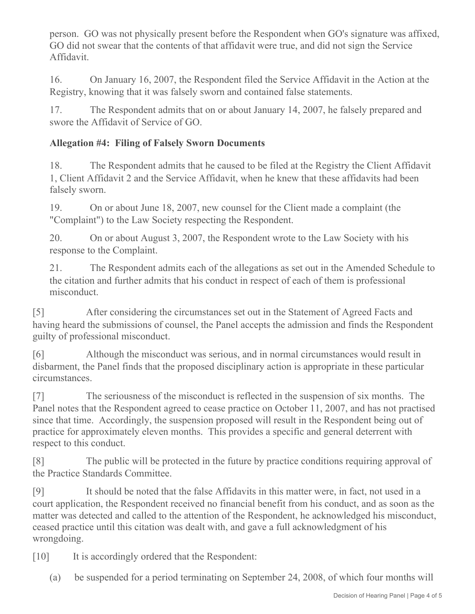person. GO was not physically present before the Respondent when GO's signature was affixed, GO did not swear that the contents of that affidavit were true, and did not sign the Service Affidavit.

16. On January 16, 2007, the Respondent filed the Service Affidavit in the Action at the Registry, knowing that it was falsely sworn and contained false statements.

17. The Respondent admits that on or about January 14, 2007, he falsely prepared and swore the Affidavit of Service of GO.

## **Allegation #4: Filing of Falsely Sworn Documents**

18. The Respondent admits that he caused to be filed at the Registry the Client Affidavit 1, Client Affidavit 2 and the Service Affidavit, when he knew that these affidavits had been falsely sworn.

19. On or about June 18, 2007, new counsel for the Client made a complaint (the "Complaint") to the Law Society respecting the Respondent.

20. On or about August 3, 2007, the Respondent wrote to the Law Society with his response to the Complaint.

21. The Respondent admits each of the allegations as set out in the Amended Schedule to the citation and further admits that his conduct in respect of each of them is professional misconduct.

[5] After considering the circumstances set out in the Statement of Agreed Facts and having heard the submissions of counsel, the Panel accepts the admission and finds the Respondent guilty of professional misconduct.

[6] Although the misconduct was serious, and in normal circumstances would result in disbarment, the Panel finds that the proposed disciplinary action is appropriate in these particular circumstances.

[7] The seriousness of the misconduct is reflected in the suspension of six months. The Panel notes that the Respondent agreed to cease practice on October 11, 2007, and has not practised since that time. Accordingly, the suspension proposed will result in the Respondent being out of practice for approximately eleven months. This provides a specific and general deterrent with respect to this conduct.

[8] The public will be protected in the future by practice conditions requiring approval of the Practice Standards Committee.

[9] It should be noted that the false Affidavits in this matter were, in fact, not used in a court application, the Respondent received no financial benefit from his conduct, and as soon as the matter was detected and called to the attention of the Respondent, he acknowledged his misconduct, ceased practice until this citation was dealt with, and gave a full acknowledgment of his wrongdoing.

[10] It is accordingly ordered that the Respondent:

(a) be suspended for a period terminating on September 24, 2008, of which four months will